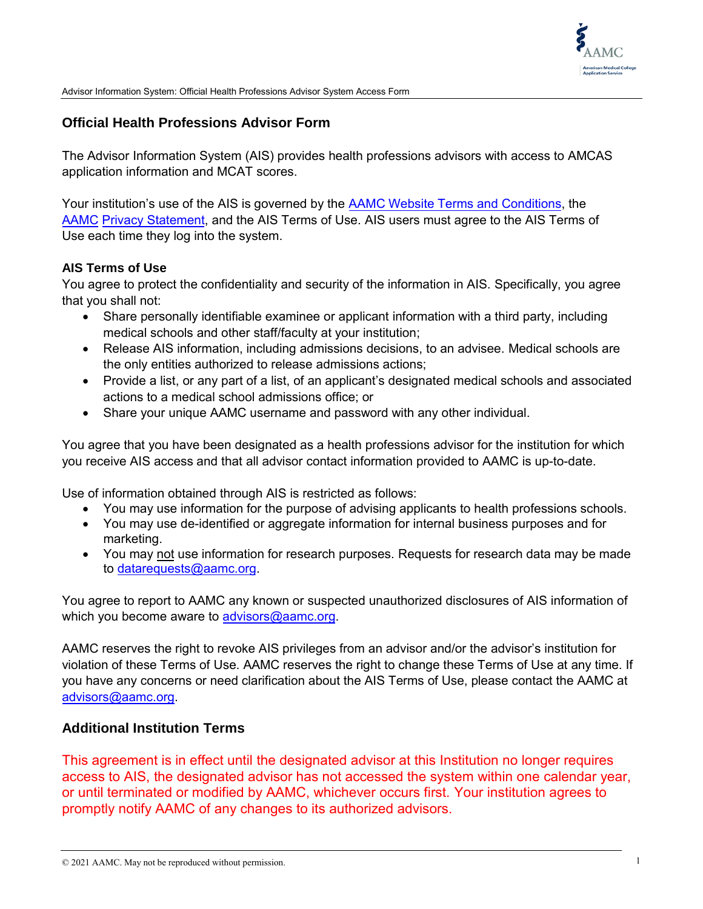

Advisor Information System: Official Health Professions Advisor System Access Form

## **Official Health Professions Advisor Form**

The Advisor Information System (AIS) provides health professions advisors with access to AMCAS application information and MCAT scores.

Your institution's use of the AIS is governed by the [AAMC Website Terms and Conditions,](https://www.aamc.org/website-terms-conditions) th[e](https://www.aamc.org/44866/privacy.html)  AAMC [Privacy Statement](https://www.aamc.org/privacy), and the AIS Terms of Use. AIS users must agree to the AIS Terms of Use each time they log into the system.

## **AIS Terms of Use**

You agree to protect the confidentiality and security of the information in AIS. Specifically, you agree that you shall not:

- Share personally identifiable examinee or applicant information with a third party, including medical schools and other staff/faculty at your institution;
- Release AIS information, including admissions decisions, to an advisee. Medical schools are the only entities authorized to release admissions actions;
- Provide a list, or any part of a list, of an applicant's designated medical schools and associated actions to a medical school admissions office; or
- Share your unique AAMC username and password with any other individual.

You agree that you have been designated as a health professions advisor for the institution for which you receive AIS access and that all advisor contact information provided to AAMC is up-to-date.

Use of information obtained through AIS is restricted as follows:

- You may use information for the purpose of advising applicants to health professions schools.
- You may use de-identified or aggregate information for internal business purposes and for marketing.
- You may not use information for research purposes. Requests for research data may be made to [datarequests@aamc.org](mailto:datarequests@aamc.org).

You agree to report to AAMC any known or suspected unauthorized disclosures of AIS information of which you become aware to [advisors@aamc.org](mailto:advisors@aamc.org).

AAMC reserves the right to revoke AIS privileges from an advisor and/or the advisor's institution for violation of these Terms of Use. AAMC reserves the right to change these Terms of Use at any time. If you have any concerns or need clarification about the AIS Terms of Use, please contact the AAMC at [advisors@aamc.org.](mailto:advisors@aamc.org)

## **Additional Institution Terms**

This agreement is in effect until the designated advisor at this Institution no longer requires access to AIS, the designated advisor has not accessed the system within one calendar year, or until terminated or modified by AAMC, whichever occurs first. Your institution agrees to promptly notify AAMC of any changes to its authorized advisors.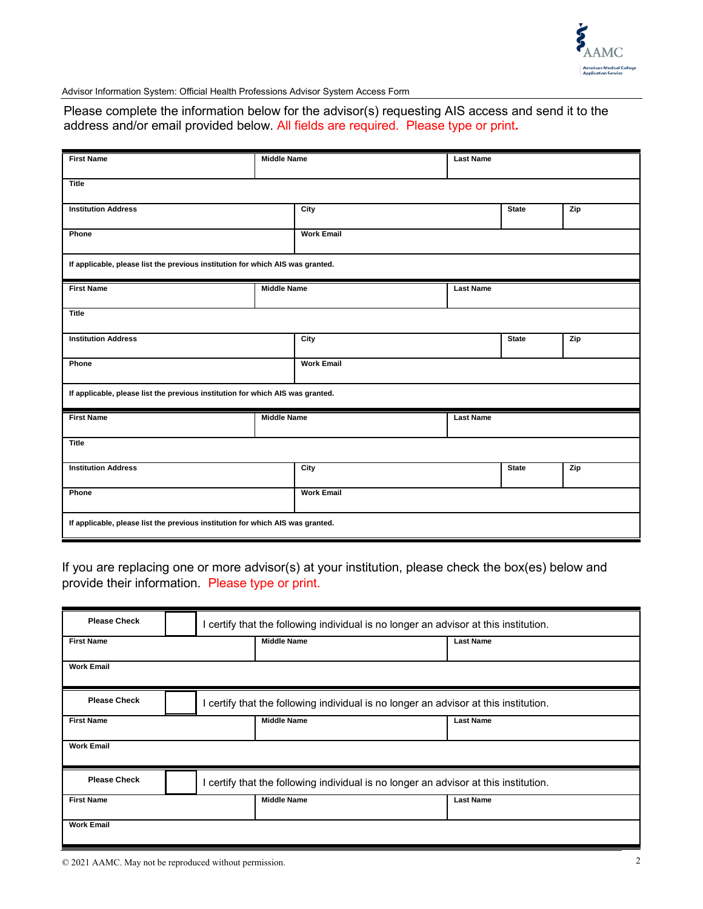

Advisor Information System: Official Health Professions Advisor System Access Form

Please complete the information below for the advisor(s) requesting AIS access and send it to the address and/or email provided below. All fields are required. Please type or print**.**

| <b>First Name</b>                                                              |                    | <b>Middle Name</b><br><b>Last Name</b> |                  |              |     |
|--------------------------------------------------------------------------------|--------------------|----------------------------------------|------------------|--------------|-----|
| <b>Title</b>                                                                   |                    |                                        |                  |              |     |
| <b>Institution Address</b>                                                     |                    | City                                   |                  | <b>State</b> | Zip |
| Phone                                                                          |                    | <b>Work Email</b>                      |                  |              |     |
| If applicable, please list the previous institution for which AIS was granted. |                    |                                        |                  |              |     |
| <b>First Name</b><br><b>Middle Name</b>                                        |                    | <b>Last Name</b>                       |                  |              |     |
| <b>Title</b>                                                                   |                    |                                        |                  |              |     |
| <b>Institution Address</b>                                                     |                    | City                                   |                  | State        | Zip |
| Phone                                                                          |                    | <b>Work Email</b>                      |                  |              |     |
| If applicable, please list the previous institution for which AIS was granted. |                    |                                        |                  |              |     |
| <b>First Name</b>                                                              | <b>Middle Name</b> |                                        | <b>Last Name</b> |              |     |
| <b>Title</b>                                                                   |                    |                                        |                  |              |     |
| <b>Institution Address</b>                                                     |                    | City                                   |                  | <b>State</b> | Zip |
| Phone                                                                          |                    | <b>Work Email</b>                      |                  |              |     |
| If applicable, please list the previous institution for which AIS was granted. |                    |                                        |                  |              |     |

If you are replacing one or more advisor(s) at your institution, please check the box(es) below and provide their information. Please type or print.

| <b>Please Check</b> | I certify that the following individual is no longer an advisor at this institution. |                                                                                      |  |                  |  |
|---------------------|--------------------------------------------------------------------------------------|--------------------------------------------------------------------------------------|--|------------------|--|
| <b>First Name</b>   |                                                                                      | <b>Middle Name</b>                                                                   |  | <b>Last Name</b> |  |
| <b>Work Email</b>   |                                                                                      |                                                                                      |  |                  |  |
| <b>Please Check</b> |                                                                                      | I certify that the following individual is no longer an advisor at this institution. |  |                  |  |
| <b>First Name</b>   |                                                                                      | <b>Middle Name</b>                                                                   |  | <b>Last Name</b> |  |
| <b>Work Email</b>   |                                                                                      |                                                                                      |  |                  |  |
| <b>Please Check</b> |                                                                                      | I certify that the following individual is no longer an advisor at this institution. |  |                  |  |
| <b>First Name</b>   |                                                                                      | <b>Middle Name</b>                                                                   |  | <b>Last Name</b> |  |
| <b>Work Email</b>   |                                                                                      |                                                                                      |  |                  |  |